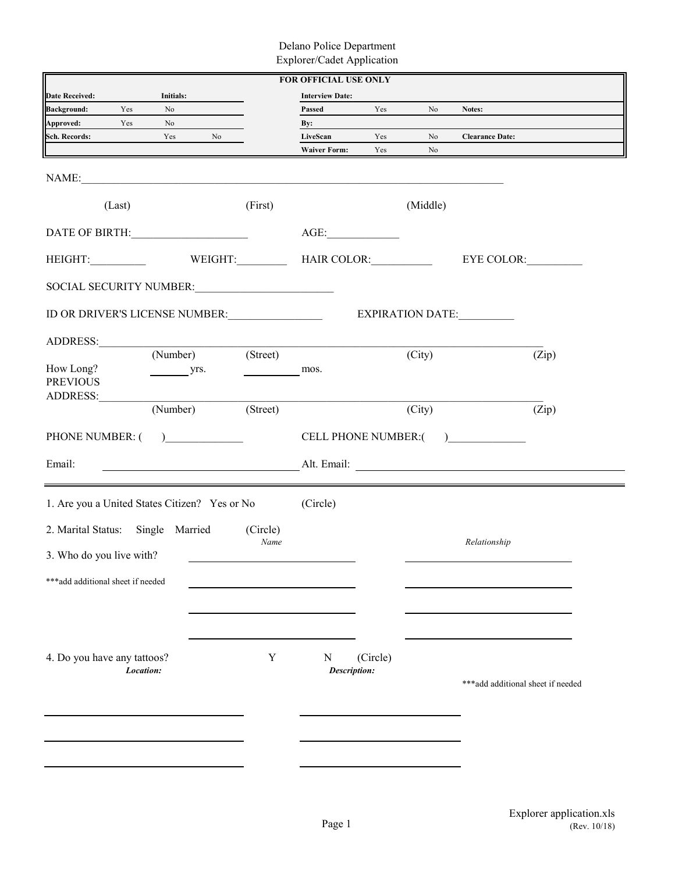Delano Police Department Explorer/Cadet Application

|                                               |                              |                                                                                                                       | <b>FOR OFFICIAL USE ONLY</b> |          |          |                                   |
|-----------------------------------------------|------------------------------|-----------------------------------------------------------------------------------------------------------------------|------------------------------|----------|----------|-----------------------------------|
| <b>Date Received:</b>                         | Initials:                    |                                                                                                                       | <b>Interview Date:</b>       |          |          |                                   |
| <b>Background:</b><br>Yes                     | No                           |                                                                                                                       | Passed                       | Yes      | No       | Notes:                            |
| Approved:<br>Yes                              | No                           |                                                                                                                       | By:                          |          |          |                                   |
| <b>Sch. Records:</b>                          | Yes                          | No                                                                                                                    | LiveScan                     | Yes      | No       | <b>Clearance Date:</b>            |
|                                               |                              |                                                                                                                       | <b>Waiver Form:</b>          | Yes      | No       |                                   |
|                                               |                              |                                                                                                                       |                              |          |          |                                   |
| (Last)                                        |                              | (First)                                                                                                               |                              |          | (Middle) |                                   |
| DATE OF BIRTH:                                |                              |                                                                                                                       | AGE:                         |          |          |                                   |
| HEIGHT:                                       |                              | WEIGHT:                                                                                                               |                              |          |          | EYE COLOR:                        |
|                                               |                              |                                                                                                                       |                              |          |          |                                   |
| ID OR DRIVER'S LICENSE NUMBER:                |                              |                                                                                                                       |                              |          |          | EXPIRATION DATE:                  |
| ADDRESS: (Number)                             |                              |                                                                                                                       |                              |          |          |                                   |
|                                               |                              | $\overline{\text{(Street)}}$                                                                                          |                              |          | (City)   | (Zip)                             |
| How Long?<br><b>PREVIOUS</b>                  | yrs.                         |                                                                                                                       | mos.                         |          |          |                                   |
|                                               |                              |                                                                                                                       |                              |          |          |                                   |
|                                               | $(\overline{\text{Number}})$ | (Street)                                                                                                              |                              |          | (City)   | (Zip)                             |
| PHONE NUMBER: (                               | $\frac{1}{2}$                |                                                                                                                       |                              |          |          | CELL PHONE NUMBER: ()             |
| Email:                                        |                              | <u> 1980 - Johann Barn, mars ann an t-Amhainn an t-Amhainn an t-Amhainn an t-Amhainn an t-Amhainn an t-Amhainn an</u> |                              |          |          |                                   |
|                                               |                              |                                                                                                                       |                              |          |          |                                   |
| 1. Are you a United States Citizen? Yes or No |                              |                                                                                                                       | (Circle)                     |          |          |                                   |
| 2. Marital Status: Single Married             |                              | (Circle)                                                                                                              |                              |          |          |                                   |
|                                               |                              | Name                                                                                                                  |                              |          |          | Relationship                      |
| 3. Who do you live with?                      |                              |                                                                                                                       |                              |          |          |                                   |
| ***add additional sheet if needed             |                              |                                                                                                                       |                              |          |          |                                   |
|                                               |                              |                                                                                                                       |                              |          |          |                                   |
|                                               |                              |                                                                                                                       |                              |          |          |                                   |
|                                               |                              |                                                                                                                       |                              |          |          |                                   |
|                                               |                              |                                                                                                                       |                              |          |          |                                   |
| 4. Do you have any tattoos?                   |                              | Y                                                                                                                     | N                            | (Circle) |          |                                   |
|                                               | Location:                    |                                                                                                                       | Description:                 |          |          | ***add additional sheet if needed |
|                                               |                              |                                                                                                                       |                              |          |          |                                   |
|                                               |                              |                                                                                                                       |                              |          |          |                                   |
|                                               |                              |                                                                                                                       |                              |          |          |                                   |
|                                               |                              |                                                                                                                       |                              |          |          |                                   |
|                                               |                              |                                                                                                                       |                              |          |          |                                   |
|                                               |                              |                                                                                                                       |                              |          |          |                                   |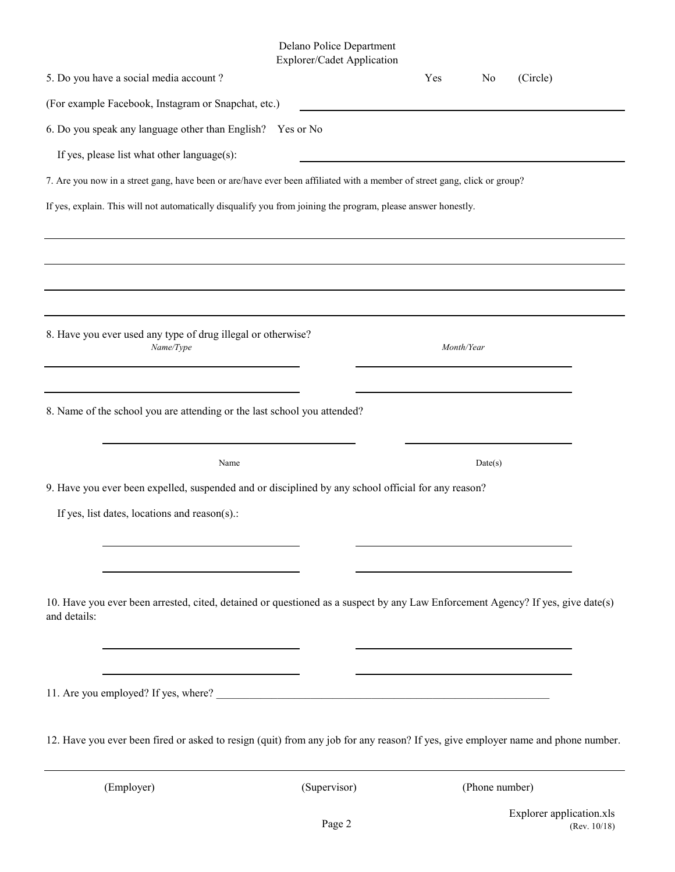## Delano Police Department Explorer/Cadet Application

|              | 5. Do you have a social media account?                                                                                           | Explorer/Cauce Application | Yes        | No             | (Circle) |
|--------------|----------------------------------------------------------------------------------------------------------------------------------|----------------------------|------------|----------------|----------|
|              | (For example Facebook, Instagram or Snapchat, etc.)                                                                              |                            |            |                |          |
|              | 6. Do you speak any language other than English? Yes or No                                                                       |                            |            |                |          |
|              | If yes, please list what other language(s):                                                                                      |                            |            |                |          |
|              | 7. Are you now in a street gang, have been or are/have ever been affiliated with a member of street gang, click or group?        |                            |            |                |          |
|              | If yes, explain. This will not automatically disqualify you from joining the program, please answer honestly.                    |                            |            |                |          |
|              |                                                                                                                                  |                            |            |                |          |
|              |                                                                                                                                  |                            |            |                |          |
|              |                                                                                                                                  |                            |            |                |          |
|              |                                                                                                                                  |                            |            |                |          |
|              | 8. Have you ever used any type of drug illegal or otherwise?<br>Name/Type                                                        |                            | Month/Year |                |          |
|              |                                                                                                                                  |                            |            |                |          |
|              |                                                                                                                                  |                            |            |                |          |
|              | 8. Name of the school you are attending or the last school you attended?                                                         |                            |            |                |          |
|              |                                                                                                                                  |                            |            |                |          |
|              | Name                                                                                                                             |                            |            | Date(s)        |          |
|              | 9. Have you ever been expelled, suspended and or disciplined by any school official for any reason?                              |                            |            |                |          |
|              | If yes, list dates, locations and reason(s).:                                                                                    |                            |            |                |          |
|              |                                                                                                                                  |                            |            |                |          |
|              |                                                                                                                                  |                            |            |                |          |
| and details: | 10. Have you ever been arrested, cited, detained or questioned as a suspect by any Law Enforcement Agency? If yes, give date(s)  |                            |            |                |          |
|              |                                                                                                                                  |                            |            |                |          |
|              |                                                                                                                                  |                            |            |                |          |
|              |                                                                                                                                  |                            |            |                |          |
|              |                                                                                                                                  |                            |            |                |          |
|              | 12. Have you ever been fired or asked to resign (quit) from any job for any reason? If yes, give employer name and phone number. |                            |            |                |          |
|              | (Employer)                                                                                                                       | (Supervisor)               |            | (Phone number) |          |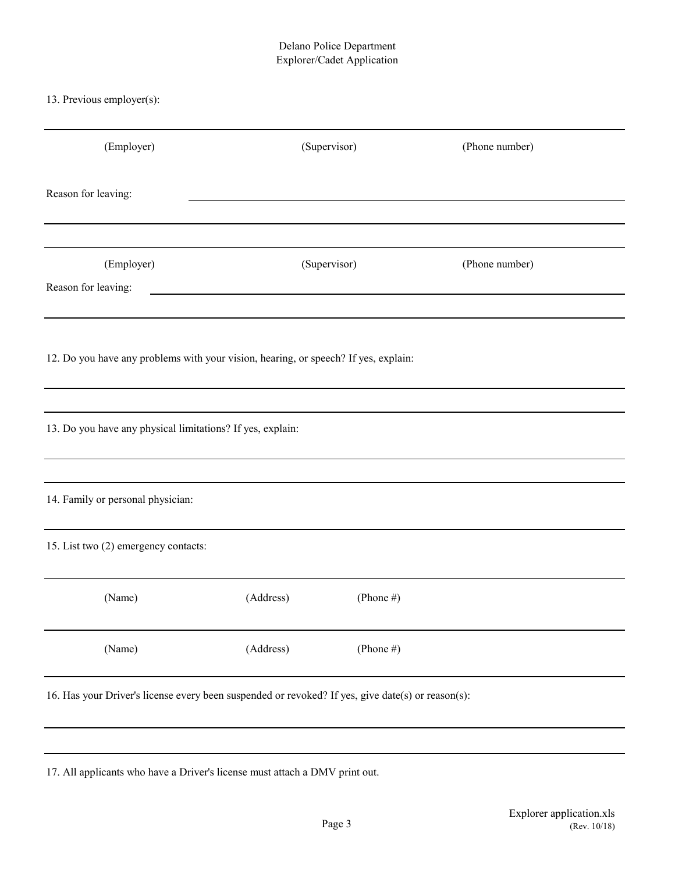## Delano Police Department Explorer/Cadet Application

13. Previous employer(s):

| (Employer)                                                                                        |                                               | (Supervisor) | (Phone number) |
|---------------------------------------------------------------------------------------------------|-----------------------------------------------|--------------|----------------|
| Reason for leaving:                                                                               |                                               |              |                |
|                                                                                                   |                                               |              |                |
| (Employer)                                                                                        |                                               | (Supervisor) | (Phone number) |
| Reason for leaving:                                                                               | <u> 1980 - Andrea Andrew Maria (h. 1980).</u> |              |                |
|                                                                                                   |                                               |              |                |
| 12. Do you have any problems with your vision, hearing, or speech? If yes, explain:               |                                               |              |                |
|                                                                                                   |                                               |              |                |
| 13. Do you have any physical limitations? If yes, explain:                                        |                                               |              |                |
|                                                                                                   |                                               |              |                |
| 14. Family or personal physician:                                                                 |                                               |              |                |
| 15. List two (2) emergency contacts:                                                              |                                               |              |                |
| (Name)                                                                                            | (Address)                                     | (Phone #)    |                |
| (Name)                                                                                            | (Address)                                     | (Phone $#$ ) |                |
| 16. Has your Driver's license every been suspended or revoked? If yes, give date(s) or reason(s): |                                               |              |                |

17. All applicants who have a Driver's license must attach a DMV print out.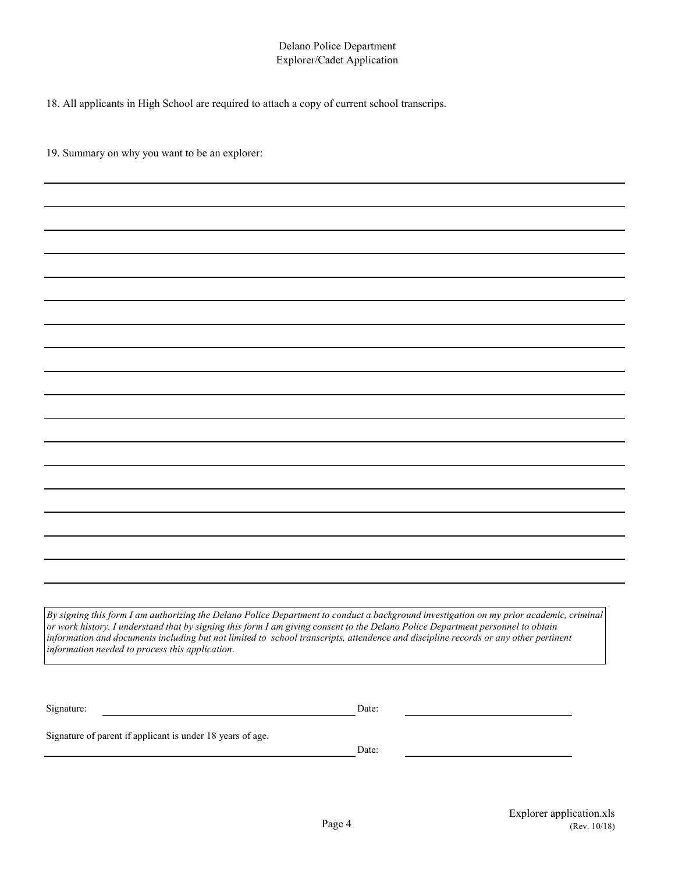## Delano Police Department Explorer/Cadet Application

18. All applicants in High School are required to attach a copy of current school transcrips.

19. Summary on why you want to be an explorer:

*By signing this form I am authorizing the Delano Police Department to conduct a background investigation on my prior academic, criminal or work history. I understand that by signing this form I am giving consent to the Delano Police Department personnel to obtain information and documents including but not limited to school transcripts, attendence and discipline records or any other pertinent information needed to process this application.*

| Signature: | Date: |
|------------|-------|
|            |       |

Signature of parent if applicant is under 18 years of age.

Date: